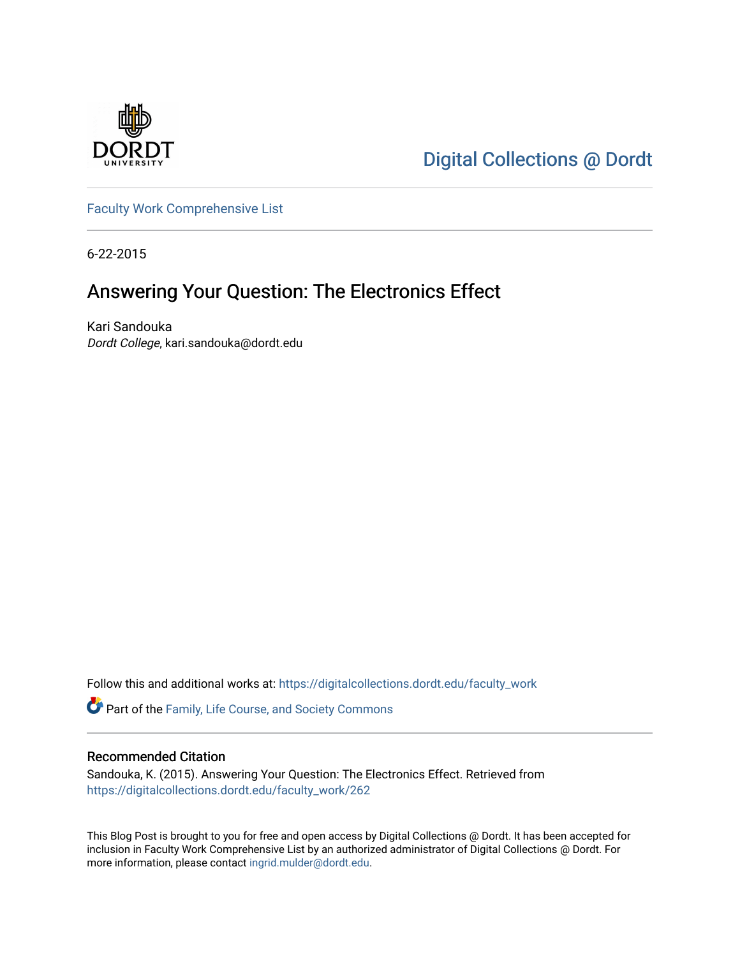

[Digital Collections @ Dordt](https://digitalcollections.dordt.edu/) 

[Faculty Work Comprehensive List](https://digitalcollections.dordt.edu/faculty_work)

6-22-2015

## Answering Your Question: The Electronics Effect

Kari Sandouka Dordt College, kari.sandouka@dordt.edu

Follow this and additional works at: [https://digitalcollections.dordt.edu/faculty\\_work](https://digitalcollections.dordt.edu/faculty_work?utm_source=digitalcollections.dordt.edu%2Ffaculty_work%2F262&utm_medium=PDF&utm_campaign=PDFCoverPages) 

Part of the [Family, Life Course, and Society Commons](http://network.bepress.com/hgg/discipline/419?utm_source=digitalcollections.dordt.edu%2Ffaculty_work%2F262&utm_medium=PDF&utm_campaign=PDFCoverPages) 

#### Recommended Citation

Sandouka, K. (2015). Answering Your Question: The Electronics Effect. Retrieved from [https://digitalcollections.dordt.edu/faculty\\_work/262](https://digitalcollections.dordt.edu/faculty_work/262?utm_source=digitalcollections.dordt.edu%2Ffaculty_work%2F262&utm_medium=PDF&utm_campaign=PDFCoverPages) 

This Blog Post is brought to you for free and open access by Digital Collections @ Dordt. It has been accepted for inclusion in Faculty Work Comprehensive List by an authorized administrator of Digital Collections @ Dordt. For more information, please contact [ingrid.mulder@dordt.edu.](mailto:ingrid.mulder@dordt.edu)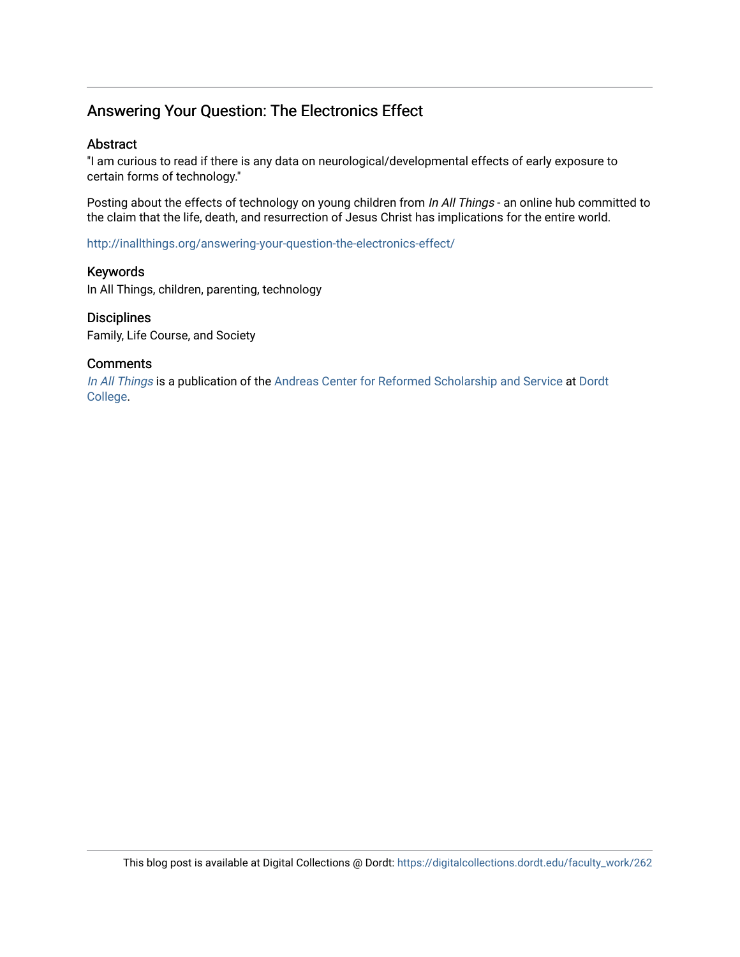## Answering Your Question: The Electronics Effect

#### Abstract

"I am curious to read if there is any data on neurological/developmental effects of early exposure to certain forms of technology."

Posting about the effects of technology on young children from In All Things - an online hub committed to the claim that the life, death, and resurrection of Jesus Christ has implications for the entire world.

<http://inallthings.org/answering-your-question-the-electronics-effect/>

#### Keywords

In All Things, children, parenting, technology

#### **Disciplines**

Family, Life Course, and Society

#### **Comments**

[In All Things](http://inallthings.org/) is a publication of the [Andreas Center for Reformed Scholarship and Service](http://www.dordt.edu/services_support/andreas_center/) at Dordt [College](http://www.dordt.edu/).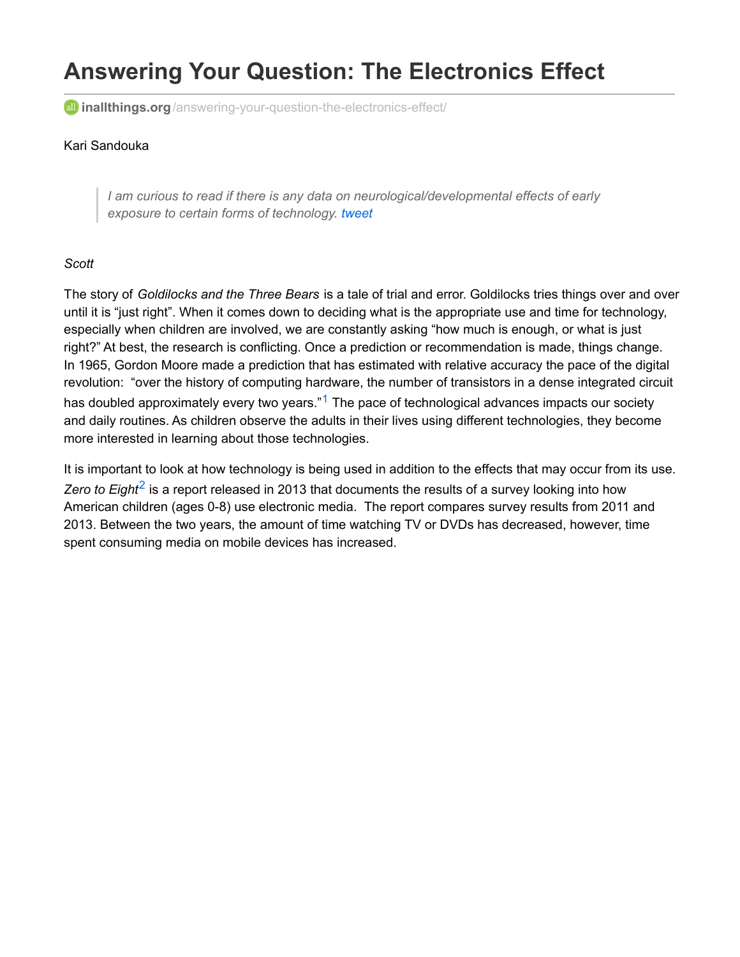# **Answering Your Question: The Electronics Effect**

**all inallthings.org**[/answering-your-question-the-electronics-effect/](http://inallthings.org/answering-your-question-the-electronics-effect/?utm_source=feedburner&utm_medium=email&utm_campaign=Feed:+in-all-things+(in+all+things))

#### Kari Sandouka

*I am curious to read if there is any data on neurological/developmental effects of early exposure to certain forms of technology. [tweet](http://twitter.com/intent/tweet?url=http://inallthings.org/answering-your-question-the-electronics-effect/?utm_source=feedburner&utm_medium=email&utm_campaign=Feed%3A+in-all-things+%28in+all+things%29&text=I am curious to read if there is any data on neurological/developmental effects of early exposure to certain forms of technology.&via=&related=&hashtags=children,parenting,technology,)*

#### *Scott*

The story of *Goldilocks and the Three Bears* is a tale of trial and error. Goldilocks tries things over and over until it is "just right". When it comes down to deciding what is the appropriate use and time for technology, especially when children are involved, we are constantly asking "how much is enough, or what is just right?" At best, the research is conflicting. Once a prediction or recommendation is made, things change. In 1965, Gordon Moore made a prediction that has estimated with relative accuracy the pace of the digital revolution: "over the history of computing hardware, the number of transistors in a dense integrated circuit has doubled approximately every two years."<sup>[1](http://inallthings.org/answering-your-question-the-electronics-effect/?utm_source=feedburner&utm_medium=email&utm_campaign=Feed%3A+in-all-things+%28in+all+things%29#fn1-4907)</sup> The pace of technological advances impacts our society and daily routines. As children observe the adults in their lives using different technologies, they become more interested in learning about those technologies.

It is important to look at how technology is being used in addition to the effects that may occur from its use. Zero to Eight<sup>[2](http://inallthings.org/answering-your-question-the-electronics-effect/?utm_source=feedburner&utm_medium=email&utm_campaign=Feed%3A+in-all-things+%28in+all+things%29#fn2-4907)</sup> is a report released in 2013 that documents the results of a survey looking into how American children (ages 0-8) use electronic media. The report compares survey results from 2011 and 2013. Between the two years, the amount of time watching TV or DVDs has decreased, however, time spent consuming media on mobile devices has increased.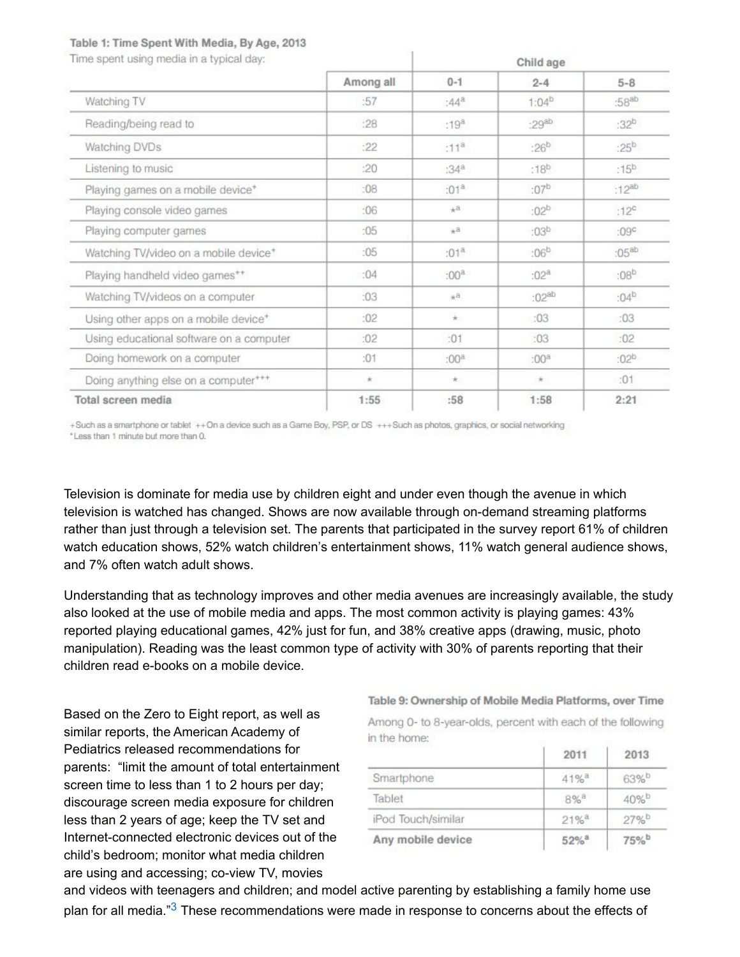#### Table 1: Time Spent With Media, By Age, 2013

a concentrate concentrate in the field de-

| Time spent using media in a typical day:          |           | Child age |                  |                  |
|---------------------------------------------------|-----------|-----------|------------------|------------------|
|                                                   | Among all | $0 - 1$   | $2 - 4$          | $5 - 8$          |
| Watching TV                                       | :57       | $:44^{a}$ | $1:04^{b}$       | $:58^{ab}$       |
| Reading/being read to                             | :28       | $:19^{8}$ | $:29^{ab}$       | :32 <sup>b</sup> |
| Watching DVDs                                     | :22       | $:11^{8}$ | $:26^{b}$        | $:25^{b}$        |
| Listening to music                                | :20       | $:34^{a}$ | :18 <sup>b</sup> | :15 <sup>b</sup> |
| Playing games on a mobile device <sup>+</sup>     | :08       | $:01^a$   | $:07^{b}$        | $:12^{ab}$       |
| Playing console video games                       | :06       | $A_{\pm}$ | $:02^{b}$        | :12 <sup>c</sup> |
| Playing computer games                            | :05       | $*^a$     | :03 <sup>b</sup> | :09 <sup>c</sup> |
| Watching TV/video on a mobile device <sup>+</sup> | :05       | $:01^{a}$ | $:06^{b}$        | $:05^{ab}$       |
| Playing handheld video games**                    | :04       | $:00^a$   | $:02^{a}$        | $:08^{b}$        |
| Watching TV/videos on a computer                  | :03       | $*^a$     | $:02^{ab}$       | $:04^{b}$        |
| Using other apps on a mobile device <sup>+</sup>  | :02       | $\pm$     | :03              | :03              |
| Using educational software on a computer          | :02       | :01       | :03              | :02              |
| Doing homework on a computer                      | :01       | $:00^a$   | $:00^a$          | :02 <sup>b</sup> |
| Doing anything else on a computer***              | $+$       | $+$       | $+$              | :01              |
| Total screen media                                | 1:55      | :58       | 1:58             | 2:21             |

 $\mathbf{I}$ 

+Such as a smartphone or tablet ++On a device such as a Game Boy, PSP, or DS +++Such as photos, graphics, or social networking \*Less than 1 minute but more than 0.

Television is dominate for media use by children eight and under even though the avenue in which television is watched has changed. Shows are now available through on-demand streaming platforms rather than just through a television set. The parents that participated in the survey report 61% of children watch education shows, 52% watch children's entertainment shows, 11% watch general audience shows, and 7% often watch adult shows.

Understanding that as technology improves and other media avenues are increasingly available, the study also looked at the use of mobile media and apps. The most common activity is playing games: 43% reported playing educational games, 42% just for fun, and 38% creative apps (drawing, music, photo manipulation). Reading was the least common type of activity with 30% of parents reporting that their children read e-books on a mobile device.

Based on the Zero to Eight report, as well as similar reports, the American Academy of Pediatrics released recommendations for parents: "limit the amount of total entertainment screen time to less than 1 to 2 hours per day; discourage screen media exposure for children less than 2 years of age; keep the TV set and Internet-connected electronic devices out of the child's bedroom; monitor what media children are using and accessing; co-view TV, movies

Table 9: Ownership of Mobile Media Platforms, over Time Among 0- to 8-year-olds, percent with each of the following

|                    | 2011               | 2013 |
|--------------------|--------------------|------|
| Smartphone         | $41%$ <sup>3</sup> | 63%b |
| Tablet             | 8% <sup>a</sup>    | 40%b |
| iPod Touch/similar | $21%$ <sup>3</sup> | 27%b |
| Any mobile device  | 52% <sup>a</sup>   | 75%b |

and videos with teenagers and children; and model active parenting by establishing a family home use plan for all media."<sup>[3](http://inallthings.org/answering-your-question-the-electronics-effect/?utm_source=feedburner&utm_medium=email&utm_campaign=Feed%3A+in-all-things+%28in+all+things%29#fn3-4907)</sup> These recommendations were made in response to concerns about the effects of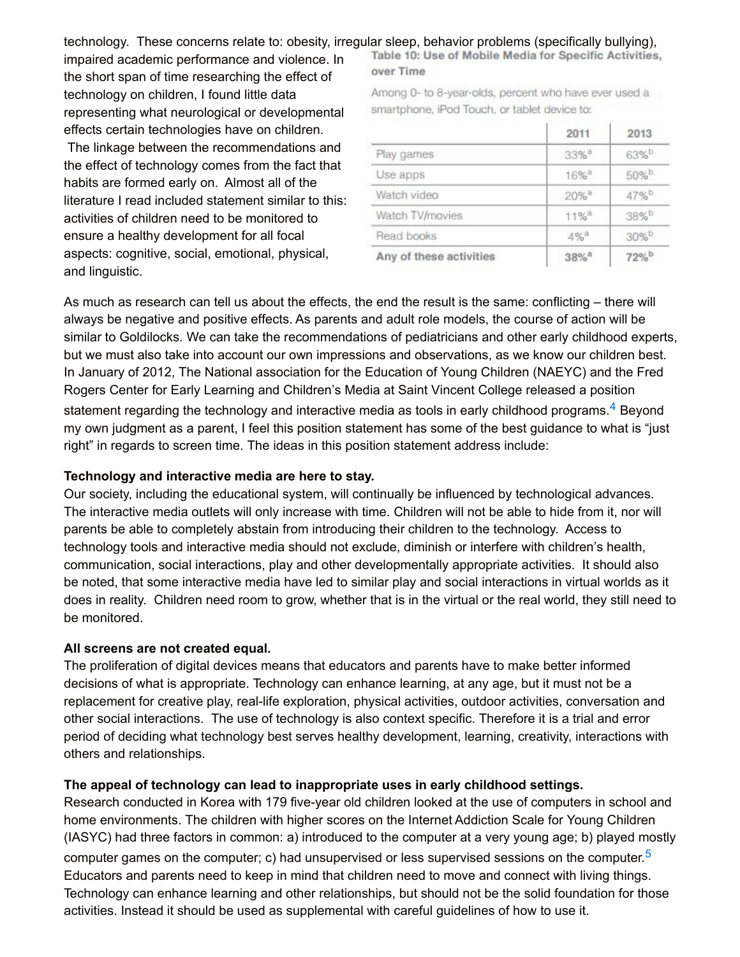technology. These concerns relate to: obesity, irregular sleep, behavior problems (specifically bullying),

impaired academic performance and violence. In the short span of time researching the effect of technology on children, I found little data representing what neurological or developmental effects certain technologies have on children.

The linkage between the recommendations and the effect of technology comes from the fact that habits are formed early on. Almost all of the literature I read included statement similar to this: activities of children need to be monitored to ensure a healthy development for all focal aspects: cognitive, social, emotional, physical, and linguistic.

Table 10: Use of Mobile Media for Specific Activities, over Time

Among 0- to 8-year-olds, percent who have ever used a smartphone, iPod Touch, or tablet device to:

|                         | 2011               | 2013 |
|-------------------------|--------------------|------|
| Play games              | 33% <sup>a</sup>   | 63%b |
| Use apps                | $16%$ <sup>8</sup> | 50%b |
| Watch video             | $20%$ <sup>a</sup> | 47%b |
| Watch TV/movies         | $11%$ <sup>8</sup> | 38%b |
| Read books              | $4\%$ <sup>a</sup> | 30%b |
| Any of these activities | 38% <sup>a</sup>   | 72%b |

As much as research can tell us about the effects, the end the result is the same: conflicting – there will always be negative and positive effects. As parents and adult role models, the course of action will be similar to Goldilocks. We can take the recommendations of pediatricians and other early childhood experts, but we must also take into account our own impressions and observations, as we know our children best. In January of 2012, The National association for the Education of Young Children (NAEYC) and the Fred Rogers Center for Early Learning and Children's Media at Saint Vincent College released a position statement regarding the technology and interactive media as tools in early childhood programs. $^{\rm 4}$  $^{\rm 4}$  $^{\rm 4}$  Beyond my own judgment as a parent, I feel this position statement has some of the best guidance to what is "just right" in regards to screen time. The ideas in this position statement address include:

#### **Technology and interactive media are here to stay.**

Our society, including the educational system, will continually be influenced by technological advances. The interactive media outlets will only increase with time. Children will not be able to hide from it, nor will parents be able to completely abstain from introducing their children to the technology. Access to technology tools and interactive media should not exclude, diminish or interfere with children's health, communication, social interactions, play and other developmentally appropriate activities. It should also be noted, that some interactive media have led to similar play and social interactions in virtual worlds as it does in reality. Children need room to grow, whether that is in the virtual or the real world, they still need to be monitored.

#### **All screens are not created equal.**

The proliferation of digital devices means that educators and parents have to make better informed decisions of what is appropriate. Technology can enhance learning, at any age, but it must not be a replacement for creative play, real-life exploration, physical activities, outdoor activities, conversation and other social interactions. The use of technology is also context specific. Therefore it is a trial and error period of deciding what technology best serves healthy development, learning, creativity, interactions with others and relationships.

#### **The appeal of technology can lead to inappropriate uses in early childhood settings.**

Research conducted in Korea with 179 five-year old children looked at the use of computers in school and home environments. The children with higher scores on the Internet Addiction Scale for Young Children (IASYC) had three factors in common: a) introduced to the computer at a very young age; b) played mostly computer games on the computer; c) had unsupervised or less supervised sessions on the computer.<sup>[5](http://inallthings.org/answering-your-question-the-electronics-effect/?utm_source=feedburner&utm_medium=email&utm_campaign=Feed%3A+in-all-things+%28in+all+things%29#fn5-4907)</sup> Educators and parents need to keep in mind that children need to move and connect with living things. Technology can enhance learning and other relationships, but should not be the solid foundation for those activities. Instead it should be used as supplemental with careful guidelines of how to use it.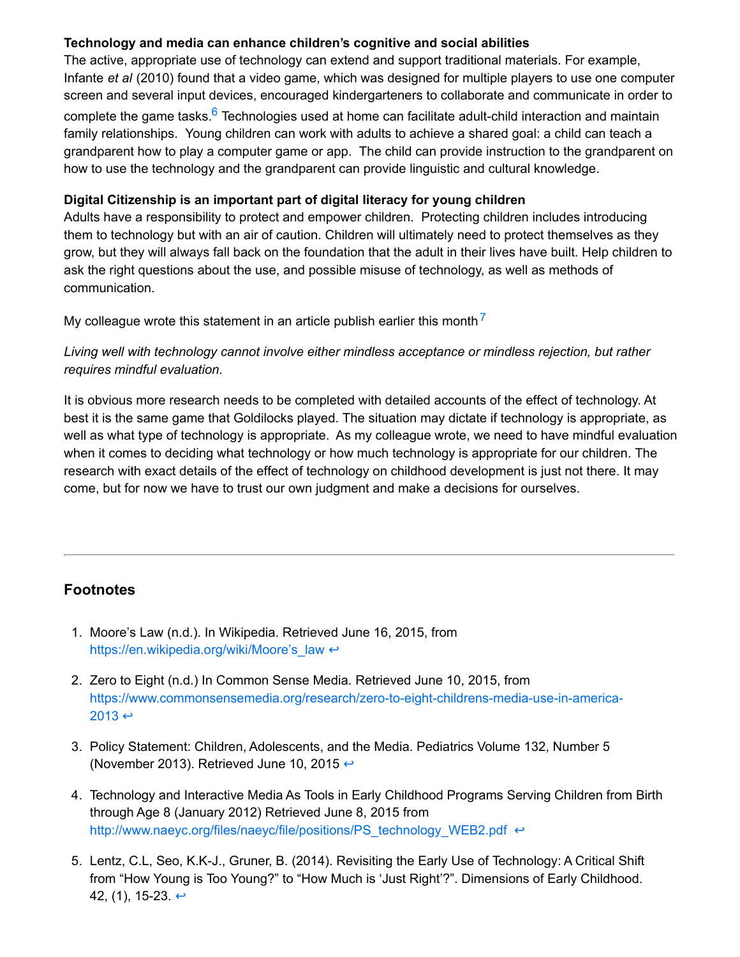#### **Technology and media can enhance children's cognitive and social abilities**

The active, appropriate use of technology can extend and support traditional materials. For example, Infante *et al* (2010) found that a video game, which was designed for multiple players to use one computer screen and several input devices, encouraged kindergarteners to collaborate and communicate in order to complete the game tasks.<sup>[6](http://inallthings.org/answering-your-question-the-electronics-effect/?utm_source=feedburner&utm_medium=email&utm_campaign=Feed%3A+in-all-things+%28in+all+things%29#fn6-4907)</sup> Technologies used at home can facilitate adult-child interaction and maintain family relationships. Young children can work with adults to achieve a shared goal: a child can teach a grandparent how to play a computer game or app. The child can provide instruction to the grandparent on how to use the technology and the grandparent can provide linguistic and cultural knowledge.

#### **Digital Citizenship is an important part of digital literacy for young children**

Adults have a responsibility to protect and empower children. Protecting children includes introducing them to technology but with an air of caution. Children will ultimately need to protect themselves as they grow, but they will always fall back on the foundation that the adult in their lives have built. Help children to ask the right questions about the use, and possible misuse of technology, as well as methods of communication.

My colleague wrote this statement in an article publish earlier this month  $^7$  $^7$ 

#### *Living well with technology cannot involve either mindless acceptance or mindless rejection, but rather requires mindful evaluation.*

It is obvious more research needs to be completed with detailed accounts of the effect of technology. At best it is the same game that Goldilocks played. The situation may dictate if technology is appropriate, as well as what type of technology is appropriate. As my colleague wrote, we need to have mindful evaluation when it comes to deciding what technology or how much technology is appropriate for our children. The research with exact details of the effect of technology on childhood development is just not there. It may come, but for now we have to trust our own judgment and make a decisions for ourselves.

## **Footnotes**

- 1. Moore's Law (n.d.). In Wikipedia. Retrieved June 16, 2015, from https://en.wikipedia.org/wiki/Moore's law ↔
- 2. Zero to Eight (n.d.) In Common Sense Media. Retrieved June 10, 2015, from [https://www.commonsensemedia.org/research/zero-to-eight-childrens-media-use-in-america-](https://www.commonsensemedia.org/research/zero-to-eight-childrens-media-use-in-america-2013) $2013 \leftrightarrow$
- 3. Policy Statement: Children, Adolescents, and the Media. Pediatrics Volume 132, Number 5 (November 2013). Retrieved June 10, 2015  $\leftrightarrow$
- 4. Technology and Interactive Media As Tools in Early Childhood Programs Serving Children from Birth through Age 8 (January 2012) Retrieved June 8, 2015 from [http://www.naeyc.org/files/naeyc/file/positions/PS\\_technology\\_WEB2.pdf](http://www.naeyc.org/files/naeyc/file/positions/PS_technology_WEB2.pdf) ↔
- 5. Lentz, C.L, Seo, K.K-J., Gruner, B. (2014). Revisiting the Early Use of Technology: A Critical Shift from "How Young is Too Young?" to "How Much is 'Just Right'?". Dimensions of Early Childhood. 42, (1), 15-23.  $\leftrightarrow$